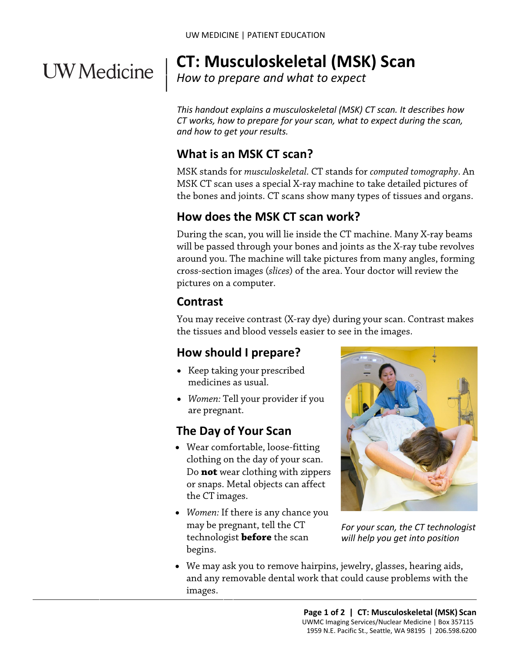# **UW** Medicine

#### | **CT: Musculoskeletal (MSK) Scan**

 $\parallel$ *How to prepare and what to expect*

*This handout explains a musculoskeletal (MSK) CT scan. It describes how CT works, how to prepare for your scan, what to expect during the scan, and how to get your results.* 

## **What is an MSK CT scan?**

MSK stands for *musculoskeletal.* CT stands for *computed tomography*. An MSK CT scan uses a special X-ray machine to take detailed pictures of the bones and joints. CT scans show many types of tissues and organs.

## **How does the MSK CT scan work?**

During the scan, you will lie inside the CT machine. Many X-ray beams will be passed through your bones and joints as the X-ray tube revolves around you. The machine will take pictures from many angles, forming cross-section images (*slices*) of the area. Your doctor will review the pictures on a computer.

## **Contrast**

You may receive contrast (X-ray dye) during your scan. Contrast makes the tissues and blood vessels easier to see in the images.

## **How should I prepare?**

- Keep taking your prescribed medicines as usual.
- *Women:* Tell your provider if you are pregnant.

## **The Day of Your Scan**

- Wear comfortable, loose-fitting clothing on the day of your scan. Do **not** wear clothing with zippers or snaps. Metal objects can affect the CT images.
- *Women:* If there is any chance you may be pregnant, tell the CT technologist **before** the scan begins.



*For your scan, the CT technologist will help you get into position* 

• We may ask you to remove hairpins, jewelry, glasses, hearing aids, and any removable dental work that could cause problems with the images.